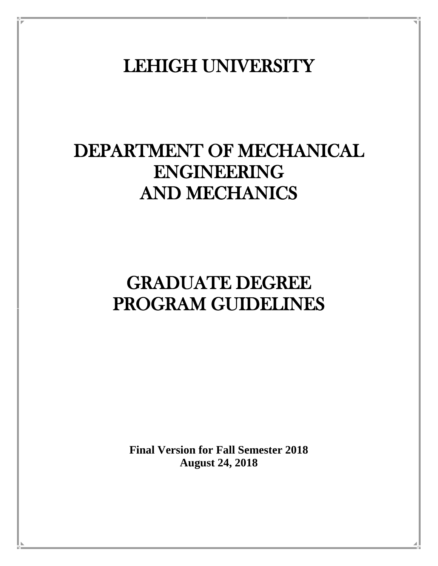LEHIGH UNIVERSITY

# DEPARTMENT OF MECHANICAL ENGINEERING AND MECHANICS

# GRADUATE DEGREE PROGRAM GUIDELINES

**Final Version for Fall Semester 2018 August 24, 2018**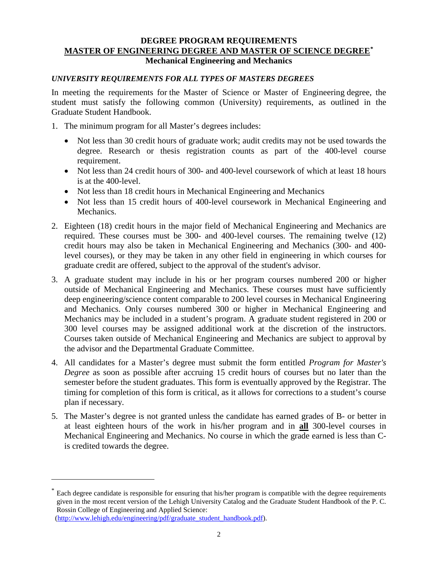## **DEGREE PROGRAM REQUIREMENTS MASTER OF ENGINEERING DEGREE AND MASTER OF SCIENCE DEGREE[\\*](#page-1-0) Mechanical Engineering and Mechanics**

# *UNIVERSITY REQUIREMENTS FOR ALL TYPES OF MASTERS DEGREES*

In meeting the requirements for the Master of Science or Master of Engineering degree, the student must satisfy the following common (University) requirements, as outlined in the Graduate Student Handbook.

- 1. The minimum program for all Master's degrees includes:
	- Not less than 30 credit hours of graduate work; audit credits may not be used towards the degree. Research or thesis registration counts as part of the 400-level course requirement.
	- Not less than 24 credit hours of 300- and 400-level coursework of which at least 18 hours is at the 400-level.
	- Not less than 18 credit hours in Mechanical Engineering and Mechanics
	- Not less than 15 credit hours of 400-level coursework in Mechanical Engineering and Mechanics.
- 2. Eighteen (18) credit hours in the major field of Mechanical Engineering and Mechanics are required. These courses must be 300- and 400-level courses. The remaining twelve (12) credit hours may also be taken in Mechanical Engineering and Mechanics (300- and 400 level courses), or they may be taken in any other field in engineering in which courses for graduate credit are offered, subject to the approval of the student's advisor.
- 3. A graduate student may include in his or her program courses numbered 200 or higher outside of Mechanical Engineering and Mechanics. These courses must have sufficiently deep engineering/science content comparable to 200 level courses in Mechanical Engineering and Mechanics. Only courses numbered 300 or higher in Mechanical Engineering and Mechanics may be included in a student's program. A graduate student registered in 200 or 300 level courses may be assigned additional work at the discretion of the instructors. Courses taken outside of Mechanical Engineering and Mechanics are subject to approval by the advisor and the Departmental Graduate Committee.
- 4. All candidates for a Master's degree must submit the form entitled *Program for Master's Degree* as soon as possible after accruing 15 credit hours of courses but no later than the semester before the student graduates. This form is eventually approved by the Registrar. The timing for completion of this form is critical, as it allows for corrections to a student's course plan if necessary.
- 5. The Master's degree is not granted unless the candidate has earned grades of B- or better in at least eighteen hours of the work in his/her program and in **all** 300-level courses in Mechanical Engineering and Mechanics. No course in which the grade earned is less than Cis credited towards the degree.

 $\overline{a}$ 

<span id="page-1-0"></span><sup>\*</sup> Each degree candidate is responsible for ensuring that his/her program is compatible with the degree requirements given in the most recent version of the Lehigh University Catalog and the Graduate Student Handbook of the P. C. Rossin College of Engineering and Applied Science: [\(http://www.lehigh.edu/engineering/pdf/graduate\\_student\\_handbook.pdf\)](http://www.lehigh.edu/engineering/pdf/graduate_student_handbook.pdf).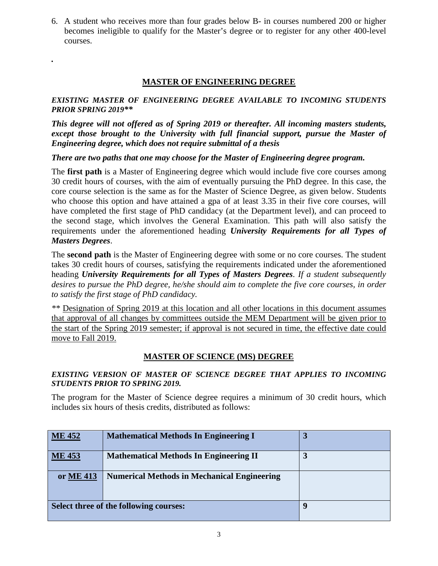6. A student who receives more than four grades below B- in courses numbered 200 or higher becomes ineligible to qualify for the Master's degree or to register for any other 400-level courses.

# **MASTER OF ENGINEERING DEGREE**

*.*

## *EXISTING MASTER OF ENGINEERING DEGREE AVAILABLE TO INCOMING STUDENTS PRIOR SPRING 2019\*\**

*This degree will not offered as of Spring 2019 or thereafter. All incoming masters students, except those brought to the University with full financial support, pursue the Master of Engineering degree, which does not require submittal of a thesis*

# *There are two paths that one may choose for the Master of Engineering degree program.*

The **first path** is a Master of Engineering degree which would include five core courses among 30 credit hours of courses, with the aim of eventually pursuing the PhD degree. In this case, the core course selection is the same as for the Master of Science Degree, as given below. Students who choose this option and have attained a gpa of at least 3.35 in their five core courses, will have completed the first stage of PhD candidacy (at the Department level), and can proceed to the second stage, which involves the General Examination. This path will also satisfy the requirements under the aforementioned heading *University Requirements for all Types of Masters Degrees*.

The **second path** is the Master of Engineering degree with some or no core courses. The student takes 30 credit hours of courses, satisfying the requirements indicated under the aforementioned heading *University Requirements for all Types of Masters Degrees*. *If a student subsequently desires to pursue the PhD degree, he/she should aim to complete the five core courses, in order to satisfy the first stage of PhD candidacy.*

*\*\** Designation of Spring 2019 at this location and all other locations in this document assumes that approval of all changes by committees outside the MEM Department will be given prior to the start of the Spring 2019 semester; if approval is not secured in time, the effective date could move to Fall 2019.

# **MASTER OF SCIENCE (MS) DEGREE**

## *EXISTING VERSION OF MASTER OF SCIENCE DEGREE THAT APPLIES TO INCOMING STUDENTS PRIOR TO SPRING 2019.*

The program for the Master of Science degree requires a minimum of 30 credit hours, which includes six hours of thesis credits, distributed as follows:

| <b>ME 452</b>                          | <b>Mathematical Methods In Engineering I</b>       | 3 |
|----------------------------------------|----------------------------------------------------|---|
| <b>ME 453</b>                          | <b>Mathematical Methods In Engineering II</b>      | 3 |
| or ME 413                              | <b>Numerical Methods in Mechanical Engineering</b> |   |
| Select three of the following courses: |                                                    | y |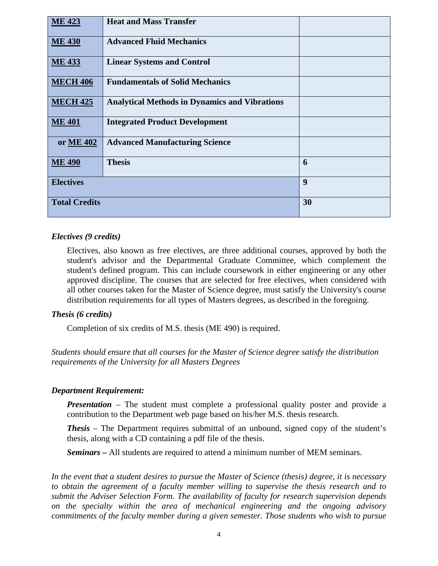| <b>ME 423</b>        | <b>Heat and Mass Transfer</b>                        |    |
|----------------------|------------------------------------------------------|----|
| <b>ME 430</b>        | <b>Advanced Fluid Mechanics</b>                      |    |
| <b>ME 433</b>        | <b>Linear Systems and Control</b>                    |    |
| <b>MECH 406</b>      | <b>Fundamentals of Solid Mechanics</b>               |    |
| <b>MECH 425</b>      | <b>Analytical Methods in Dynamics and Vibrations</b> |    |
| <b>ME 401</b>        | <b>Integrated Product Development</b>                |    |
| or ME 402            | <b>Advanced Manufacturing Science</b>                |    |
| <b>ME 490</b>        | <b>Thesis</b>                                        | 6  |
| <b>Electives</b>     |                                                      | 9  |
| <b>Total Credits</b> |                                                      | 30 |

## *Electives (9 credits)*

Electives, also known as free electives, are three additional courses, approved by both the student's advisor and the Departmental Graduate Committee, which complement the student's defined program. This can include coursework in either engineering or any other approved discipline. The courses that are selected for free electives, when considered with all other courses taken for the Master of Science degree, must satisfy the University's course distribution requirements for all types of Masters degrees, as described in the foregoing.

#### *Thesis (6 credits)*

Completion of six credits of M.S. thesis (ME 490) is required.

*Students should ensure that all courses for the Master of Science degree satisfy the distribution requirements of the University for all Masters Degrees*

#### *Department Requirement:*

*Presentation* – The student must complete a professional quality poster and provide a contribution to the Department web page based on his/her M.S. thesis research.

**Thesis** – The Department requires submittal of an unbound, signed copy of the student's thesis, along with a CD containing a pdf file of the thesis.

*Seminars* **–** All students are required to attend a minimum number of MEM seminars.

*In the event that a student desires to pursue the Master of Science (thesis) degree, it is necessary to obtain the agreement of a faculty member willing to supervise the thesis research and to submit the Adviser Selection Form. The availability of faculty for research supervision depends on the specialty within the area of mechanical engineering and the ongoing advisory commitments of the faculty member during a given semester. Those students who wish to pursue*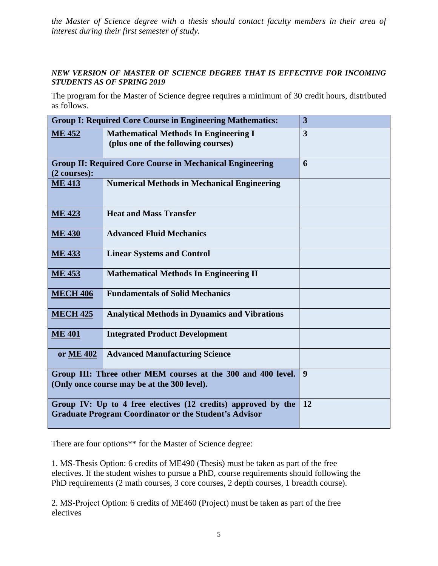*the Master of Science degree with a thesis should contact faculty members in their area of interest during their first semester of study.*

# *NEW VERSION OF MASTER OF SCIENCE DEGREE THAT IS EFFECTIVE FOR INCOMING STUDENTS AS OF SPRING 2019*

The program for the Master of Science degree requires a minimum of 30 credit hours, distributed as follows.

| <b>Group I: Required Core Course in Engineering Mathematics:</b>                                                              |                                                                                     | 3  |
|-------------------------------------------------------------------------------------------------------------------------------|-------------------------------------------------------------------------------------|----|
| <b>ME 452</b>                                                                                                                 | <b>Mathematical Methods In Engineering I</b><br>(plus one of the following courses) | 3  |
| <b>Group II: Required Core Course in Mechanical Engineering</b><br>$(2 \text{ courses})$ :                                    |                                                                                     | 6  |
| <b>ME 413</b>                                                                                                                 | <b>Numerical Methods in Mechanical Engineering</b>                                  |    |
| <b>ME 423</b>                                                                                                                 | <b>Heat and Mass Transfer</b>                                                       |    |
| <b>ME 430</b>                                                                                                                 | <b>Advanced Fluid Mechanics</b>                                                     |    |
| <b>ME 433</b>                                                                                                                 | <b>Linear Systems and Control</b>                                                   |    |
| <b>ME 453</b>                                                                                                                 | <b>Mathematical Methods In Engineering II</b>                                       |    |
| <b>MECH 406</b>                                                                                                               | <b>Fundamentals of Solid Mechanics</b>                                              |    |
| <b>MECH 425</b>                                                                                                               | <b>Analytical Methods in Dynamics and Vibrations</b>                                |    |
| <b>ME 401</b>                                                                                                                 | <b>Integrated Product Development</b>                                               |    |
| or ME 402                                                                                                                     | <b>Advanced Manufacturing Science</b>                                               |    |
| Group III: Three other MEM courses at the 300 and 400 level.<br>(Only once course may be at the 300 level).                   |                                                                                     | 9  |
| Group IV: Up to 4 free electives (12 credits) approved by the<br><b>Graduate Program Coordinator or the Student's Advisor</b> |                                                                                     | 12 |

There are four options\*\* for the Master of Science degree:

1. MS‐Thesis Option: 6 credits of ME490 (Thesis) must be taken as part of the free electives. If the student wishes to pursue a PhD, course requirements should following the PhD requirements (2 math courses, 3 core courses, 2 depth courses, 1 breadth course).

2. MS‐Project Option: 6 credits of ME460 (Project) must be taken as part of the free electives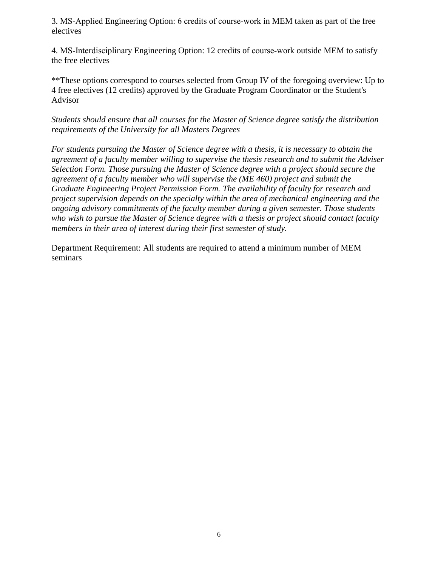3. MS‐Applied Engineering Option: 6 credits of course‐work in MEM taken as part of the free electives

4. MS‐Interdisciplinary Engineering Option: 12 credits of course‐work outside MEM to satisfy the free electives

\*\*These options correspond to courses selected from Group IV of the foregoing overview: Up to 4 free electives (12 credits) approved by the Graduate Program Coordinator or the Student's Advisor

*Students should ensure that all courses for the Master of Science degree satisfy the distribution requirements of the University for all Masters Degrees*

*For students pursuing the Master of Science degree with a thesis, it is necessary to obtain the agreement of a faculty member willing to supervise the thesis research and to submit the Adviser Selection Form. Those pursuing the Master of Science degree with a project should secure the agreement of a faculty member who will supervise the (ME 460) project and submit the Graduate Engineering Project Permission Form. The availability of faculty for research and project supervision depends on the specialty within the area of mechanical engineering and the ongoing advisory commitments of the faculty member during a given semester. Those students who wish to pursue the Master of Science degree with a thesis or project should contact faculty members in their area of interest during their first semester of study.*

Department Requirement: All students are required to attend a minimum number of MEM seminars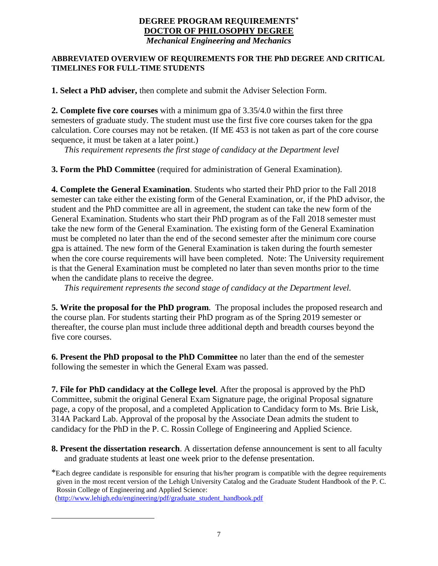## **DEGREE PROGRAM REQUIREMENTS[\\*](#page-6-0) DOCTOR OF PHILOSOPHY DEGREE** *Mechanical Engineering and Mechanics*

## **ABBREVIATED OVERVIEW OF REQUIREMENTS FOR THE PhD DEGREE AND CRITICAL TIMELINES FOR FULL-TIME STUDENTS**

**1. Select a PhD adviser,** then complete and submit the Adviser Selection Form.

**2. Complete five core courses** with a minimum gpa of 3.35/4.0 within the first three semesters of graduate study. The student must use the first five core courses taken for the gpa calculation. Core courses may not be retaken. (If ME 453 is not taken as part of the core course sequence, it must be taken at a later point.)

*This requirement represents the first stage of candidacy at the Department level* 

**3. Form the PhD Committee** (required for administration of General Examination).

**4. Complete the General Examination**. Students who started their PhD prior to the Fall 2018 semester can take either the existing form of the General Examination, or, if the PhD advisor, the student and the PhD committee are all in agreement, the student can take the new form of the General Examination. Students who start their PhD program as of the Fall 2018 semester must take the new form of the General Examination. The existing form of the General Examination must be completed no later than the end of the second semester after the minimum core course gpa is attained. The new form of the General Examination is taken during the fourth semester when the core course requirements will have been completed. Note: The University requirement is that the General Examination must be completed no later than seven months prior to the time when the candidate plans to receive the degree.

*This requirement represents the second stage of candidacy at the Department level.*

**5. Write the proposal for the PhD program**. The proposal includes the proposed research and the course plan. For students starting their PhD program as of the Spring 2019 semester or thereafter, the course plan must include three additional depth and breadth courses beyond the five core courses.

**6. Present the PhD proposal to the PhD Committee** no later than the end of the semester following the semester in which the General Exam was passed.

**7. File for PhD candidacy at the College level**. After the proposal is approved by the PhD Committee, submit the original General Exam Signature page, the original Proposal signature page, a copy of the proposal, and a completed Application to Candidacy form to Ms. Brie Lisk, 314A Packard Lab. Approval of the proposal by the Associate Dean admits the student to candidacy for the PhD in the P. C. Rossin College of Engineering and Applied Science.

**8. Present the dissertation research**. A dissertation defense announcement is sent to all faculty and graduate students at least one week prior to the defense presentation.

[\(http://www.lehigh.edu/engineering/pdf/graduate\\_student\\_handbook.pdf](http://www.lehigh.edu/engineering/pdf/graduate_student_handbook.pdf)

<span id="page-6-0"></span> $\overline{a}$ 

<sup>\*</sup>Each degree candidate is responsible for ensuring that his/her program is compatible with the degree requirements given in the most recent version of the Lehigh University Catalog and the Graduate Student Handbook of the P. C. Rossin College of Engineering and Applied Science: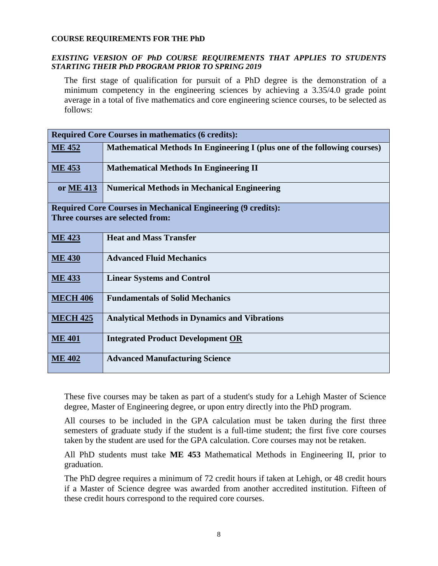#### **COURSE REQUIREMENTS FOR THE PhD**

#### *EXISTING VERSION OF PhD COURSE REQUIREMENTS THAT APPLIES TO STUDENTS STARTING THEIR PhD PROGRAM PRIOR TO SPRING 2019*

The first stage of qualification for pursuit of a PhD degree is the demonstration of a minimum competency in the engineering sciences by achieving a 3.35/4.0 grade point average in a total of five mathematics and core engineering science courses, to be selected as follows:

| <b>Required Core Courses in mathematics (6 credits):</b>            |                                                                                  |  |
|---------------------------------------------------------------------|----------------------------------------------------------------------------------|--|
| <b>ME 452</b>                                                       | <b>Mathematical Methods In Engineering I (plus one of the following courses)</b> |  |
| <b>ME 453</b>                                                       | <b>Mathematical Methods In Engineering II</b>                                    |  |
| or ME 413                                                           | <b>Numerical Methods in Mechanical Engineering</b>                               |  |
| <b>Required Core Courses in Mechanical Engineering (9 credits):</b> |                                                                                  |  |
| Three courses are selected from:                                    |                                                                                  |  |
| <b>ME 423</b>                                                       | <b>Heat and Mass Transfer</b>                                                    |  |
| <b>ME 430</b>                                                       | <b>Advanced Fluid Mechanics</b>                                                  |  |
| <b>ME 433</b>                                                       | <b>Linear Systems and Control</b>                                                |  |
| <b>MECH 406</b>                                                     | <b>Fundamentals of Solid Mechanics</b>                                           |  |
| <b>MECH 425</b>                                                     | <b>Analytical Methods in Dynamics and Vibrations</b>                             |  |
| <b>ME 401</b>                                                       | <b>Integrated Product Development OR</b>                                         |  |
| <b>ME 402</b>                                                       | <b>Advanced Manufacturing Science</b>                                            |  |

These five courses may be taken as part of a student's study for a Lehigh Master of Science degree, Master of Engineering degree, or upon entry directly into the PhD program.

All courses to be included in the GPA calculation must be taken during the first three semesters of graduate study if the student is a full-time student; the first five core courses taken by the student are used for the GPA calculation. Core courses may not be retaken.

All PhD students must take **ME 453** Mathematical Methods in Engineering II, prior to graduation.

 The PhD degree requires a minimum of 72 credit hours if taken at Lehigh, or 48 credit hours if a Master of Science degree was awarded from another accredited institution. Fifteen of these credit hours correspond to the required core courses.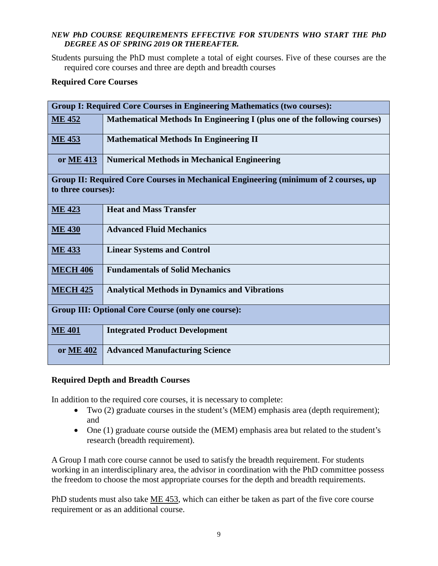## *NEW PhD COURSE REQUIREMENTS EFFECTIVE FOR STUDENTS WHO START THE PhD DEGREE AS OF SPRING 2019 OR THEREAFTER.*

Students pursuing the PhD must complete a total of eight courses. Five of these courses are the required core courses and three are depth and breadth courses

## **Required Core Courses**

| <b>Group I: Required Core Courses in Engineering Mathematics (two courses):</b>                           |                                                                           |  |
|-----------------------------------------------------------------------------------------------------------|---------------------------------------------------------------------------|--|
| <b>ME 452</b>                                                                                             | Mathematical Methods In Engineering I (plus one of the following courses) |  |
| <b>ME 453</b>                                                                                             | <b>Mathematical Methods In Engineering II</b>                             |  |
| or ME 413                                                                                                 | <b>Numerical Methods in Mechanical Engineering</b>                        |  |
| Group II: Required Core Courses in Mechanical Engineering (minimum of 2 courses, up<br>to three courses): |                                                                           |  |
| <b>ME 423</b>                                                                                             | <b>Heat and Mass Transfer</b>                                             |  |
| <b>ME 430</b>                                                                                             | <b>Advanced Fluid Mechanics</b>                                           |  |
| <b>ME 433</b>                                                                                             | <b>Linear Systems and Control</b>                                         |  |
| <b>MECH 406</b>                                                                                           | <b>Fundamentals of Solid Mechanics</b>                                    |  |
| <b>MECH 425</b>                                                                                           | <b>Analytical Methods in Dynamics and Vibrations</b>                      |  |
| <b>Group III: Optional Core Course (only one course):</b>                                                 |                                                                           |  |
| <b>ME 401</b>                                                                                             | <b>Integrated Product Development</b>                                     |  |
| or <u>ME 402</u>                                                                                          | <b>Advanced Manufacturing Science</b>                                     |  |

# **Required Depth and Breadth Courses**

In addition to the required core courses, it is necessary to complete:

- Two (2) graduate courses in the student's (MEM) emphasis area (depth requirement); and
- One (1) graduate course outside the (MEM) emphasis area but related to the student's research (breadth requirement).

A Group I math core course cannot be used to satisfy the breadth requirement. For students working in an interdisciplinary area, the advisor in coordination with the PhD committee possess the freedom to choose the most appropriate courses for the depth and breadth requirements.

PhD students must also take <u>ME 453</u>, which can either be taken as part of the five core course requirement or as an additional course.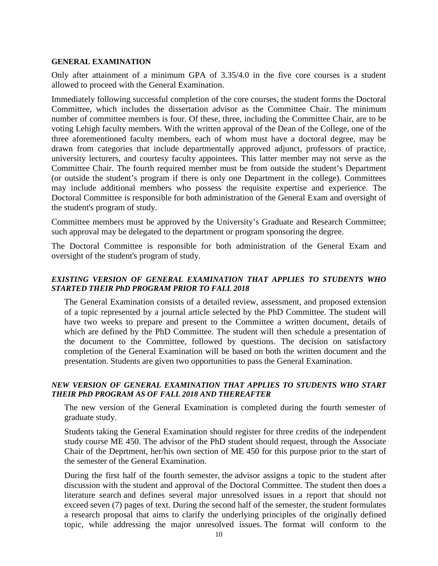#### **GENERAL EXAMINATION**

Only after attainment of a minimum GPA of 3.35/4.0 in the five core courses is a student allowed to proceed with the General Examination.

Immediately following successful completion of the core courses, the student forms the Doctoral Committee, which includes the dissertation advisor as the Committee Chair. The minimum number of committee members is four. Of these, three, including the Committee Chair, are to be voting Lehigh faculty members. With the written approval of the Dean of the College, one of the three aforementioned faculty members, each of whom must have a doctoral degree, may be drawn from categories that include departmentally approved adjunct, professors of practice, university lecturers, and courtesy faculty appointees. This latter member may not serve as the Committee Chair. The fourth required member must be from outside the student's Department (or outside the student's program if there is only one Department in the college). Committees may include additional members who possess the requisite expertise and experience. The Doctoral Committee is responsible for both administration of the General Exam and oversight of the student's program of study.

Committee members must be approved by the University's Graduate and Research Committee; such approval may be delegated to the department or program sponsoring the degree.

The Doctoral Committee is responsible for both administration of the General Exam and oversight of the student's program of study.

## *EXISTING VERSION OF GENERAL EXAMINATION THAT APPLIES TO STUDENTS WHO STARTED THEIR PhD PROGRAM PRIOR TO FALL 2018*

 The General Examination consists of a detailed review, assessment, and proposed extension of a topic represented by a journal article selected by the PhD Committee. The student will have two weeks to prepare and present to the Committee a written document, details of which are defined by the PhD Committee. The student will then schedule a presentation of the document to the Committee, followed by questions. The decision on satisfactory completion of the General Examination will be based on both the written document and the presentation. Students are given two opportunities to pass the General Examination.

#### *NEW VERSION OF GENERAL EXAMINATION THAT APPLIES TO STUDENTS WHO START THEIR PhD PROGRAM AS OF FALL 2018 AND THEREAFTER*

 The new version of the General Examination is completed during the fourth semester of graduate study.

 Students taking the General Examination should register for three credits of the independent study course ME 450. The advisor of the PhD student should request, through the Associate Chair of the Deprtment, her/his own section of ME 450 for this purpose prior to the start of the semester of the General Examination.

 During the first half of the fourth semester, the advisor assigns a topic to the student after discussion with the student and approval of the Doctoral Committee. The student then does a literature search and defines several major unresolved issues in a report that should not exceed seven (7) pages of text. During the second half of the semester, the student formulates a research proposal that aims to clarify the underlying principles of the originally defined topic, while addressing the major unresolved issues. The format will conform to the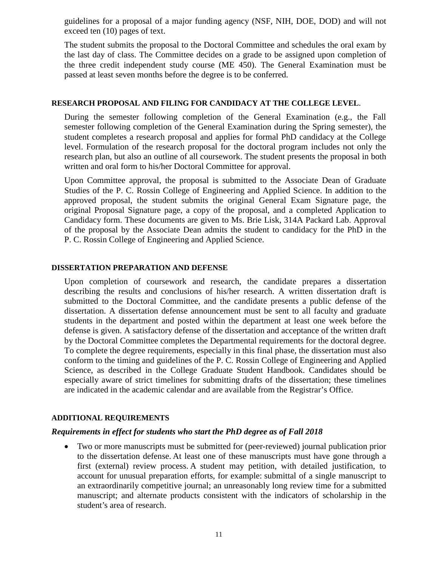guidelines for a proposal of a major funding agency (NSF, NIH, DOE, DOD) and will not exceed ten (10) pages of text.

 The student submits the proposal to the Doctoral Committee and schedules the oral exam by the last day of class. The Committee decides on a grade to be assigned upon completion of the three credit independent study course (ME 450). The General Examination must be passed at least seven months before the degree is to be conferred.

#### **RESEARCH PROPOSAL AND FILING FOR CANDIDACY AT THE COLLEGE LEVEL**.

 During the semester following completion of the General Examination (e.g., the Fall semester following completion of the General Examination during the Spring semester), the student completes a research proposal and applies for formal PhD candidacy at the College level. Formulation of the research proposal for the doctoral program includes not only the research plan, but also an outline of all coursework. The student presents the proposal in both written and oral form to his/her Doctoral Committee for approval.

 Upon Committee approval, the proposal is submitted to the Associate Dean of Graduate Studies of the P. C. Rossin College of Engineering and Applied Science. In addition to the approved proposal, the student submits the original General Exam Signature page, the original Proposal Signature page, a copy of the proposal, and a completed Application to Candidacy form. These documents are given to Ms. Brie Lisk, 314A Packard Lab. Approval of the proposal by the Associate Dean admits the student to candidacy for the PhD in the P. C. Rossin College of Engineering and Applied Science.

## **DISSERTATION PREPARATION AND DEFENSE**

Upon completion of coursework and research, the candidate prepares a dissertation describing the results and conclusions of his/her research. A written dissertation draft is submitted to the Doctoral Committee, and the candidate presents a public defense of the dissertation. A dissertation defense announcement must be sent to all faculty and graduate students in the department and posted within the department at least one week before the defense is given. A satisfactory defense of the dissertation and acceptance of the written draft by the Doctoral Committee completes the Departmental requirements for the doctoral degree. To complete the degree requirements, especially in this final phase, the dissertation must also conform to the timing and guidelines of the P. C. Rossin College of Engineering and Applied Science, as described in the College Graduate Student Handbook. Candidates should be especially aware of strict timelines for submitting drafts of the dissertation; these timelines are indicated in the academic calendar and are available from the Registrar's Office.

#### **ADDITIONAL REQUIREMENTS**

#### *Requirements in effect for students who start the PhD degree as of Fall 2018*

• Two or more manuscripts must be submitted for (peer-reviewed) journal publication prior to the dissertation defense. At least one of these manuscripts must have gone through a first (external) review process. A student may petition, with detailed justification, to account for unusual preparation efforts, for example: submittal of a single manuscript to an extraordinarily competitive journal; an unreasonably long review time for a submitted manuscript; and alternate products consistent with the indicators of scholarship in the student's area of research.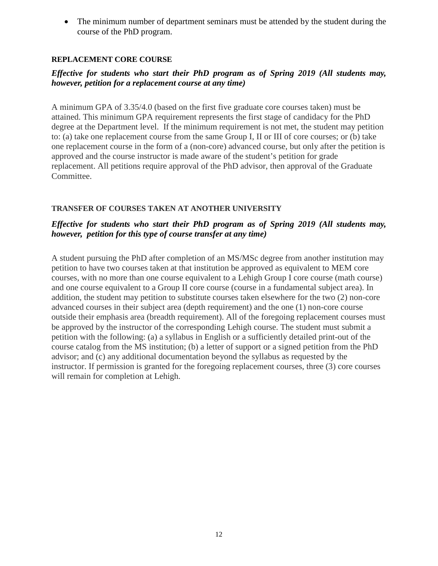• The minimum number of department seminars must be attended by the student during the course of the PhD program.

## **REPLACEMENT CORE COURSE**

# *Effective for students who start their PhD program as of Spring 2019 (All students may, however, petition for a replacement course at any time)*

A minimum GPA of 3.35/4.0 (based on the first five graduate core courses taken) must be attained. This minimum GPA requirement represents the first stage of candidacy for the PhD degree at the Department level. If the minimum requirement is not met, the student may petition to: (a) take one replacement course from the same Group I, II or III of core courses; or (b) take one replacement course in the form of a (non-core) advanced course, but only after the petition is approved and the course instructor is made aware of the student's petition for grade replacement. All petitions require approval of the PhD advisor, then approval of the Graduate Committee.

#### **TRANSFER OF COURSES TAKEN AT ANOTHER UNIVERSITY**

## *Effective for students who start their PhD program as of Spring 2019 (All students may, however, petition for this type of course transfer at any time)*

A student pursuing the PhD after completion of an MS/MSc degree from another institution may petition to have two courses taken at that institution be approved as equivalent to MEM core courses, with no more than one course equivalent to a Lehigh Group I core course (math course) and one course equivalent to a Group II core course (course in a fundamental subject area). In addition, the student may petition to substitute courses taken elsewhere for the two (2) non-core advanced courses in their subject area (depth requirement) and the one (1) non-core course outside their emphasis area (breadth requirement). All of the foregoing replacement courses must be approved by the instructor of the corresponding Lehigh course. The student must submit a petition with the following: (a) a syllabus in English or a sufficiently detailed print-out of the course catalog from the MS institution; (b) a letter of support or a signed petition from the PhD advisor; and (c) any additional documentation beyond the syllabus as requested by the instructor. If permission is granted for the foregoing replacement courses, three (3) core courses will remain for completion at Lehigh.